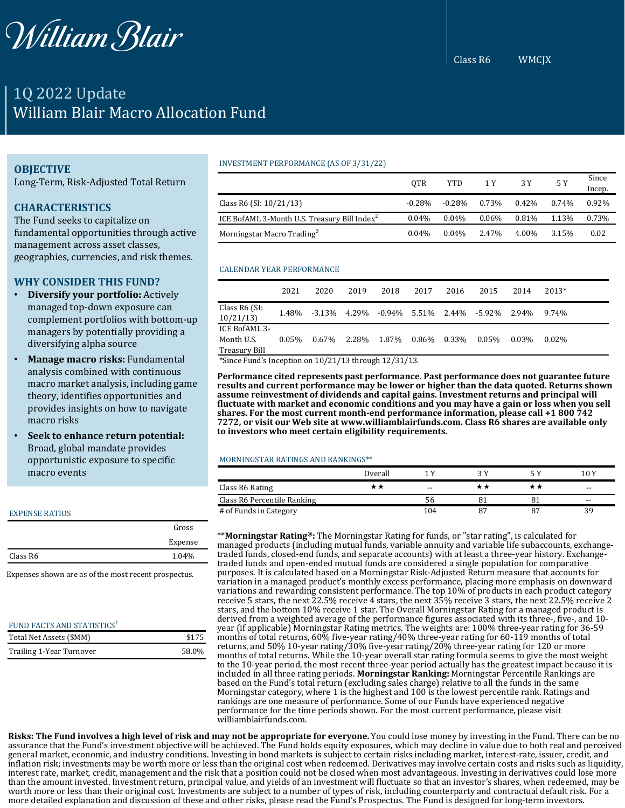

# 1Q 2022 Update William Blair Macro Allocation Fund

# **OBJECTIVE**

Long-Term, Risk-Adjusted Total Return

# **CHARACTERISTICS**

The Fund seeks to capitalize on fundamental opportunities through active management across asset classes, geographies, currencies, and risk themes.

## **WHY CONSIDER THIS FUND?**

- **Diversify your portfolio:** Actively managed top-down exposure can complement portfolios with bottom-up managers by potentially providing a diversifying alpha source
- **Manage macro risks:** Fundamental analysis combined with continuous macro market analysis, including game theory, identifies opportunities and provides insights on how to navigate macro risks
- **Seek to enhance return potential:** Broad, global mandate provides opportunistic exposure to specific macro events

#### EXPENSE RATIOS

|          | Gross   |
|----------|---------|
|          | Expense |
| Class R6 | 1.04%   |
|          |         |

Expenses shown are as of the most recent prospectus.

| FUND FACTS AND STATISTICS <sup>1</sup> |       |
|----------------------------------------|-------|
| Total Net Assets (\$MM)                | \$175 |
| Trailing 1-Year Turnover               | 58.0% |

#### INVESTMENT PERFORMANCE (AS OF 3/31/22)

|                                                          | 0TR      | YTD       | 1 Y      | 3 Y      | 5 Y   | Since<br>Incep. |
|----------------------------------------------------------|----------|-----------|----------|----------|-------|-----------------|
| Class R6 (SI: 10/21/13)                                  | $-0.28%$ | $-0.28\%$ | 0.73%    | $0.42\%$ | 0.74% | $0.92\%$        |
| ICE BofAML 3-Month U.S. Treasury Bill Index <sup>2</sup> | 0.04%    | $0.04\%$  | $0.06\%$ | 0.81%    | 1.13% | 0.73%           |
| Morningstar Macro Trading <sup>3</sup>                   | 0.04%    | $0.04\%$  | 2.47%    | 4.00%    | 3.15% | 0.02            |

### CALENDAR YEAR PERFORMANCE

|                                              | 2021     | 2020      | 2019  | 2018  | 2017        | 2016 | 2015                      | 2014  | 2013*    |
|----------------------------------------------|----------|-----------|-------|-------|-------------|------|---------------------------|-------|----------|
| Class R6 (SI:<br>10/21/13                    | 1.48%    | $-3.13\%$ | 4.29% |       |             |      | -0.94% 5.51% 2.44% -5.92% | 2.94% | 9.74%    |
| ICE BofAML 3-<br>Month U.S.<br>Treasury Bill | $0.05\%$ | $0.67\%$  | 2.28% | 1.87% | 0.86% 0.33% |      | $0.05\%$                  | 0.03% | $0.02\%$ |

\*Since Fund's Inception on 10/21/13 through 12/31/13.

**Performance cited represents past performance. Past performance does not guarantee future results and current performance may be lower or higher than the data quoted. Returns shown assume reinvestment of dividends and capital gains. Investment returns and principal will fluctuate with market and economic conditions and you may have a gain or loss when you sell shares. For the most current month-end performance information, please call +1 800 742 7272, or visit our Web site at www.williamblairfunds.com. Class R6 shares are available only to investors who meet certain eligibility requirements.**

#### MORNINGSTAR RATINGS AND RANKINGS\*\*

|                             | Overall |       |    |    | 10 Y  |
|-----------------------------|---------|-------|----|----|-------|
| Class R6 Rating             | * *     | $- -$ |    |    | $- -$ |
| Class R6 Percentile Ranking |         | 56    |    |    | $- -$ |
| # of Funds in Category      |         | 104   | 87 | 87 | 39    |

\*\***Morningstar Rating®:** The Morningstar Rating for funds, or "star rating", is calculated for managed products (including mutual funds, variable annuity and variable life subaccounts, exchangetraded funds, closed-end funds, and separate accounts) with at least a three-year history. Exchangetraded funds and open-ended mutual funds are considered a single population for comparative purposes. It is calculated based on a Morningstar Risk-Adjusted Return measure that accounts for variation in a managed product's monthly excess performance, placing more emphasis on downward variations and rewarding consistent performance. The top 10% of products in each product category receive 5 stars, the next 22.5% receive 4 stars, the next 35% receive 3 stars, the next 22.5% receive 2 stars, and the bottom 10% receive 1 star. The Overall Morningstar Rating for a managed product is derived from a weighted average of the performance figures associated with its three-, five-, and 10 year (if applicable) Morningstar Rating metrics. The weights are: 100% three-year rating for 36-59 months of total returns, 60% five-year rating/40% three-year rating for 60-119 months of total returns, and 50% 10-year rating/30% five-year rating/20% three-year rating for 120 or more months of total returns. While the 10-year overall star rating formula seems to give the most weight to the 10-year period, the most recent three-year period actually has the greatest impact because it is included in all three rating periods. **Morningstar Ranking:** Morningstar Percentile Rankings are based on the Fund's total return (excluding sales charge) relative to all the funds in the same Morningstar category, where 1 is the highest and 100 is the lowest percentile rank. Ratings and rankings are one measure of performance. Some of our Funds have experienced negative performance for the time periods shown. For the most current performance, please visit williamblairfunds.com.

Risks: The Fund involves a high level of risk and may not be appropriate for everyone. You could lose money by investing in the Fund. There can be no assurance that the Fund's investment objective will be achieved. The Fund holds equity exposures, which may decline in value due to both real and perceived general market, economic, and industry conditions. Investing in bond markets is subject to certain risks including market, interest-rate, issuer, credit, and inflation risk; investments may be worth more or less than the original cost when redeemed. Derivatives may involve certain costs and risks such as liquidity, interest rate, market, credit, management and the risk that a position could not be closed when most advantageous. Investing in derivatives could lose more than the amount invested. Investment return, principal value, and yields of an investment will fluctuate so that an investor's shares, when redeemed, may be worth more or less than their original cost. Investments are subject to a number of types of risk, including counterparty and contractual default risk. For a more detailed explanation and discussion of these and other risks, please read the Fund's Prospectus. The Fund is designed for long-term investors.

Class R6 WMCJX